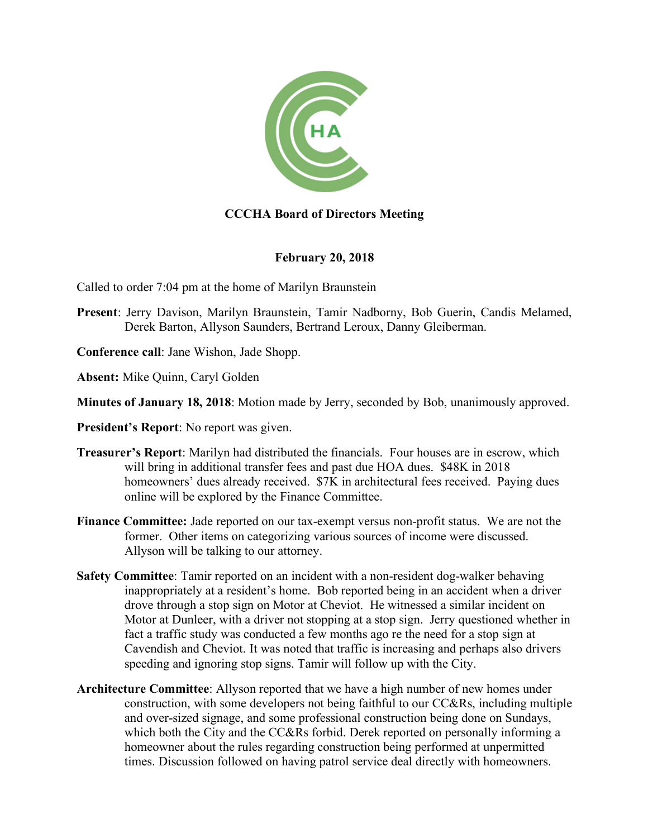

# **CCCHA Board of Directors Meeting**

### **February 20, 2018**

Called to order 7:04 pm at the home of Marilyn Braunstein

- **Present**: Jerry Davison, Marilyn Braunstein, Tamir Nadborny, Bob Guerin, Candis Melamed, Derek Barton, Allyson Saunders, Bertrand Leroux, Danny Gleiberman.
- **Conference call**: Jane Wishon, Jade Shopp.
- **Absent:** Mike Quinn, Caryl Golden
- **Minutes of January 18, 2018**: Motion made by Jerry, seconded by Bob, unanimously approved.
- **President's Report**: No report was given.
- **Treasurer's Report**: Marilyn had distributed the financials. Four houses are in escrow, which will bring in additional transfer fees and past due HOA dues. \$48K in 2018 homeowners' dues already received.  $$7K$  in architectural fees received. Paying dues online will be explored by the Finance Committee.
- **Finance Committee:** Jade reported on our tax-exempt versus non-profit status. We are not the former. Other items on categorizing various sources of income were discussed. Allyson will be talking to our attorney.
- **Safety Committee**: Tamir reported on an incident with a non-resident dog-walker behaving inappropriately at a resident's home. Bob reported being in an accident when a driver drove through a stop sign on Motor at Cheviot. He witnessed a similar incident on Motor at Dunleer, with a driver not stopping at a stop sign. Jerry questioned whether in fact a traffic study was conducted a few months ago re the need for a stop sign at Cavendish and Cheviot. It was noted that traffic is increasing and perhaps also drivers speeding and ignoring stop signs. Tamir will follow up with the City.
- **Architecture Committee**: Allyson reported that we have a high number of new homes under construction, with some developers not being faithful to our CC&Rs, including multiple and over-sized signage, and some professional construction being done on Sundays, which both the City and the CC&Rs forbid. Derek reported on personally informing a homeowner about the rules regarding construction being performed at unpermitted times. Discussion followed on having patrol service deal directly with homeowners.